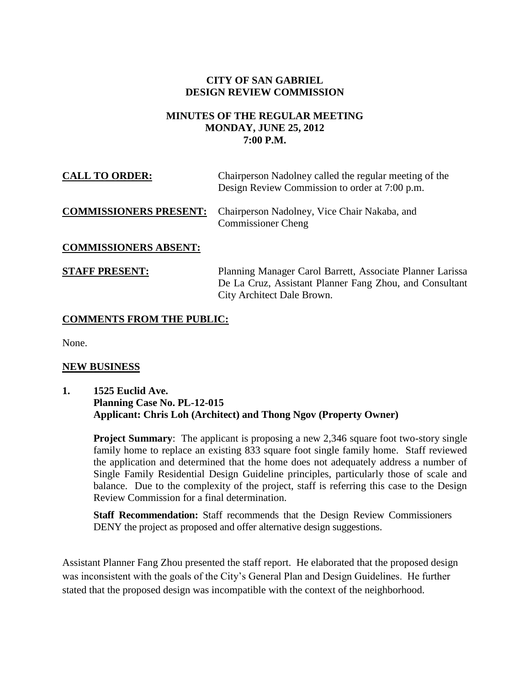# **CITY OF SAN GABRIEL DESIGN REVIEW COMMISSION**

## **MINUTES OF THE REGULAR MEETING MONDAY, JUNE 25, 2012 7:00 P.M.**

| <b>CALL TO ORDER:</b>         | Chairperson Nadolney called the regular meeting of the<br>Design Review Commission to order at 7:00 p.m.                                           |
|-------------------------------|----------------------------------------------------------------------------------------------------------------------------------------------------|
| <b>COMMISSIONERS PRESENT:</b> | Chairperson Nadolney, Vice Chair Nakaba, and<br><b>Commissioner Cheng</b>                                                                          |
| <b>COMMISSIONERS ABSENT:</b>  |                                                                                                                                                    |
| <b>STAFF PRESENT:</b>         | Planning Manager Carol Barrett, Associate Planner Larissa<br>De La Cruz, Assistant Planner Fang Zhou, and Consultant<br>City Architect Dale Brown. |

# **COMMENTS FROM THE PUBLIC:**

None.

#### **NEW BUSINESS**

## **1. 1525 Euclid Ave. Planning Case No. PL-12-015 Applicant: Chris Loh (Architect) and Thong Ngov (Property Owner)**

**Project Summary:** The applicant is proposing a new 2,346 square foot two-story single family home to replace an existing 833 square foot single family home. Staff reviewed the application and determined that the home does not adequately address a number of Single Family Residential Design Guideline principles, particularly those of scale and balance. Due to the complexity of the project, staff is referring this case to the Design Review Commission for a final determination.

**Staff Recommendation:** Staff recommends that the Design Review Commissioners DENY the project as proposed and offer alternative design suggestions.

Assistant Planner Fang Zhou presented the staff report. He elaborated that the proposed design was inconsistent with the goals of the City's General Plan and Design Guidelines. He further stated that the proposed design was incompatible with the context of the neighborhood.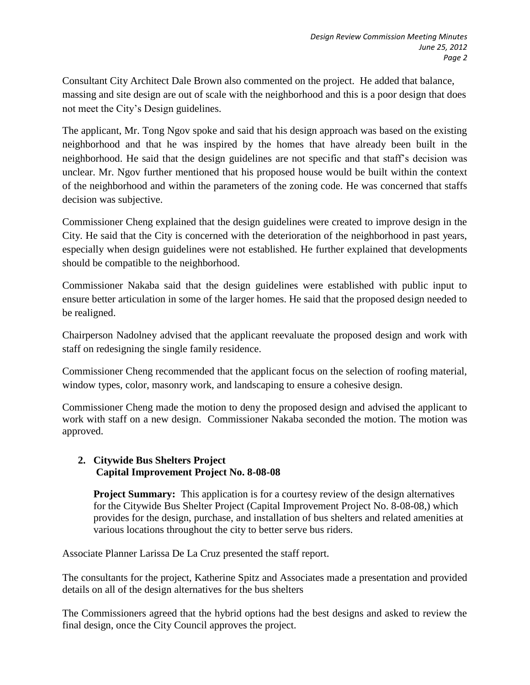Consultant City Architect Dale Brown also commented on the project. He added that balance, massing and site design are out of scale with the neighborhood and this is a poor design that does not meet the City's Design guidelines.

The applicant, Mr. Tong Ngov spoke and said that his design approach was based on the existing neighborhood and that he was inspired by the homes that have already been built in the neighborhood. He said that the design guidelines are not specific and that staff's decision was unclear. Mr. Ngov further mentioned that his proposed house would be built within the context of the neighborhood and within the parameters of the zoning code. He was concerned that staffs decision was subjective.

Commissioner Cheng explained that the design guidelines were created to improve design in the City. He said that the City is concerned with the deterioration of the neighborhood in past years, especially when design guidelines were not established. He further explained that developments should be compatible to the neighborhood.

Commissioner Nakaba said that the design guidelines were established with public input to ensure better articulation in some of the larger homes. He said that the proposed design needed to be realigned.

Chairperson Nadolney advised that the applicant reevaluate the proposed design and work with staff on redesigning the single family residence.

Commissioner Cheng recommended that the applicant focus on the selection of roofing material, window types, color, masonry work, and landscaping to ensure a cohesive design.

Commissioner Cheng made the motion to deny the proposed design and advised the applicant to work with staff on a new design. Commissioner Nakaba seconded the motion. The motion was approved.

# **2. Citywide Bus Shelters Project Capital Improvement Project No. 8-08-08**

**Project Summary:** This application is for a courtesy review of the design alternatives for the Citywide Bus Shelter Project (Capital Improvement Project No. 8-08-08,) which provides for the design, purchase, and installation of bus shelters and related amenities at various locations throughout the city to better serve bus riders.

Associate Planner Larissa De La Cruz presented the staff report.

The consultants for the project, Katherine Spitz and Associates made a presentation and provided details on all of the design alternatives for the bus shelters

The Commissioners agreed that the hybrid options had the best designs and asked to review the final design, once the City Council approves the project.